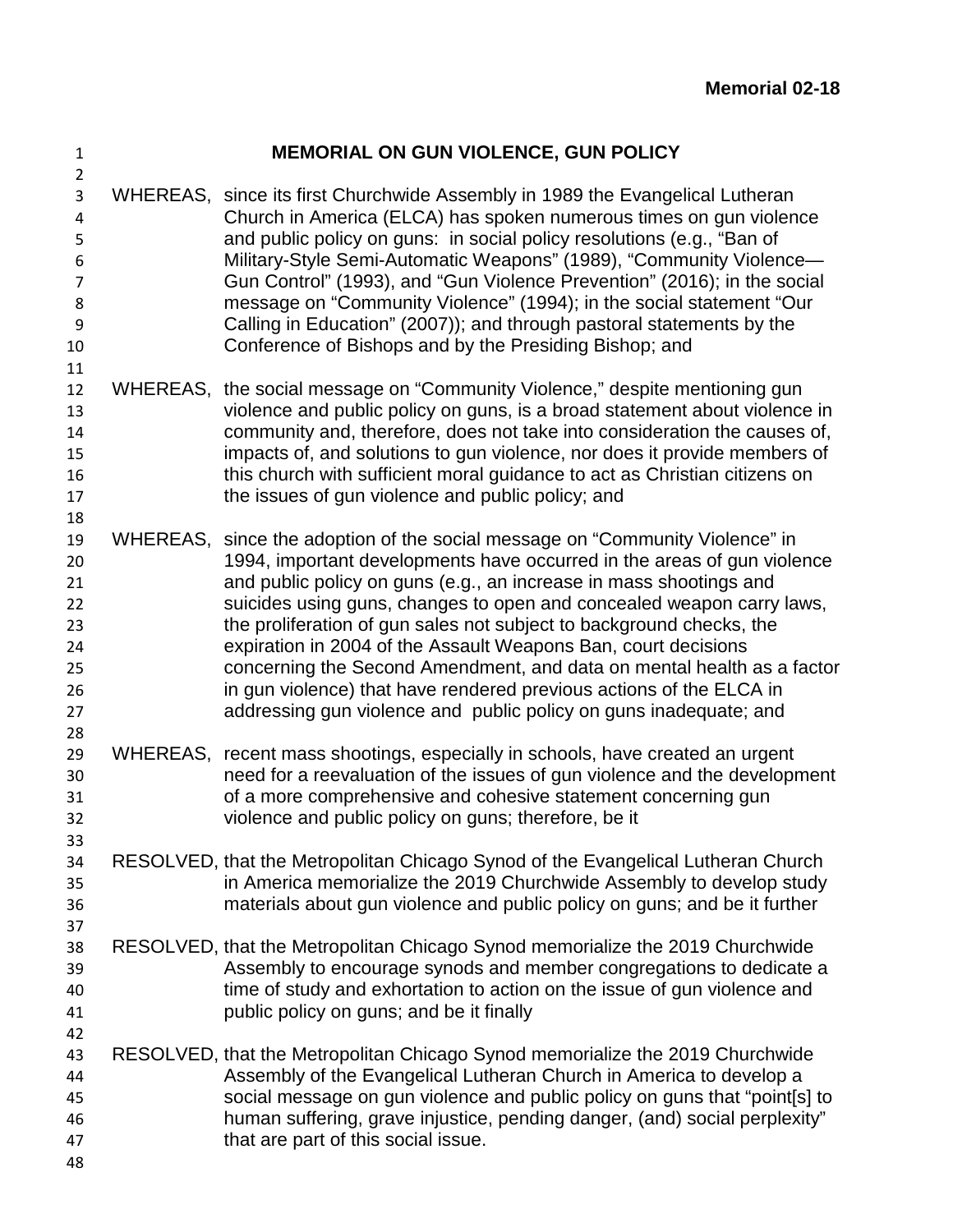| 1<br>$\overline{2}$                                      |                 | <b>MEMORIAL ON GUN VIOLENCE, GUN POLICY</b>                                                                                                                                                                                                                                                                                                                                                                                                                                                                                                                                                                                                                   |
|----------------------------------------------------------|-----------------|---------------------------------------------------------------------------------------------------------------------------------------------------------------------------------------------------------------------------------------------------------------------------------------------------------------------------------------------------------------------------------------------------------------------------------------------------------------------------------------------------------------------------------------------------------------------------------------------------------------------------------------------------------------|
| 3<br>4<br>5<br>6<br>$\overline{7}$<br>8<br>9<br>10<br>11 |                 | WHEREAS, since its first Churchwide Assembly in 1989 the Evangelical Lutheran<br>Church in America (ELCA) has spoken numerous times on gun violence<br>and public policy on guns: in social policy resolutions (e.g., "Ban of<br>Military-Style Semi-Automatic Weapons" (1989), "Community Violence-<br>Gun Control" (1993), and "Gun Violence Prevention" (2016); in the social<br>message on "Community Violence" (1994); in the social statement "Our<br>Calling in Education" (2007)); and through pastoral statements by the<br>Conference of Bishops and by the Presiding Bishop; and                                                                   |
| 12<br>13<br>14<br>15<br>16<br>17<br>18                   |                 | WHEREAS, the social message on "Community Violence," despite mentioning gun<br>violence and public policy on guns, is a broad statement about violence in<br>community and, therefore, does not take into consideration the causes of,<br>impacts of, and solutions to gun violence, nor does it provide members of<br>this church with sufficient moral guidance to act as Christian citizens on<br>the issues of gun violence and public policy; and                                                                                                                                                                                                        |
| 19<br>20<br>21<br>22<br>23<br>24<br>25<br>26<br>27<br>28 | WHEREAS,        | since the adoption of the social message on "Community Violence" in<br>1994, important developments have occurred in the areas of gun violence<br>and public policy on guns (e.g., an increase in mass shootings and<br>suicides using guns, changes to open and concealed weapon carry laws,<br>the proliferation of gun sales not subject to background checks, the<br>expiration in 2004 of the Assault Weapons Ban, court decisions<br>concerning the Second Amendment, and data on mental health as a factor<br>in gun violence) that have rendered previous actions of the ELCA in<br>addressing gun violence and public policy on guns inadequate; and |
| 29<br>30<br>31<br>32<br>33                               | <b>WHEREAS,</b> | recent mass shootings, especially in schools, have created an urgent<br>need for a reevaluation of the issues of gun violence and the development<br>of a more comprehensive and cohesive statement concerning gun<br>violence and public policy on guns; therefore, be it                                                                                                                                                                                                                                                                                                                                                                                    |
| 34<br>35<br>36<br>37                                     |                 | RESOLVED, that the Metropolitan Chicago Synod of the Evangelical Lutheran Church<br>in America memorialize the 2019 Churchwide Assembly to develop study<br>materials about gun violence and public policy on guns; and be it further                                                                                                                                                                                                                                                                                                                                                                                                                         |
| 38<br>39<br>40<br>41<br>42                               |                 | RESOLVED, that the Metropolitan Chicago Synod memorialize the 2019 Churchwide<br>Assembly to encourage synods and member congregations to dedicate a<br>time of study and exhortation to action on the issue of gun violence and<br>public policy on guns; and be it finally                                                                                                                                                                                                                                                                                                                                                                                  |
| 43<br>44<br>45<br>46<br>47<br>48                         |                 | RESOLVED, that the Metropolitan Chicago Synod memorialize the 2019 Churchwide<br>Assembly of the Evangelical Lutheran Church in America to develop a<br>social message on gun violence and public policy on guns that "point[s] to<br>human suffering, grave injustice, pending danger, (and) social perplexity"<br>that are part of this social issue.                                                                                                                                                                                                                                                                                                       |